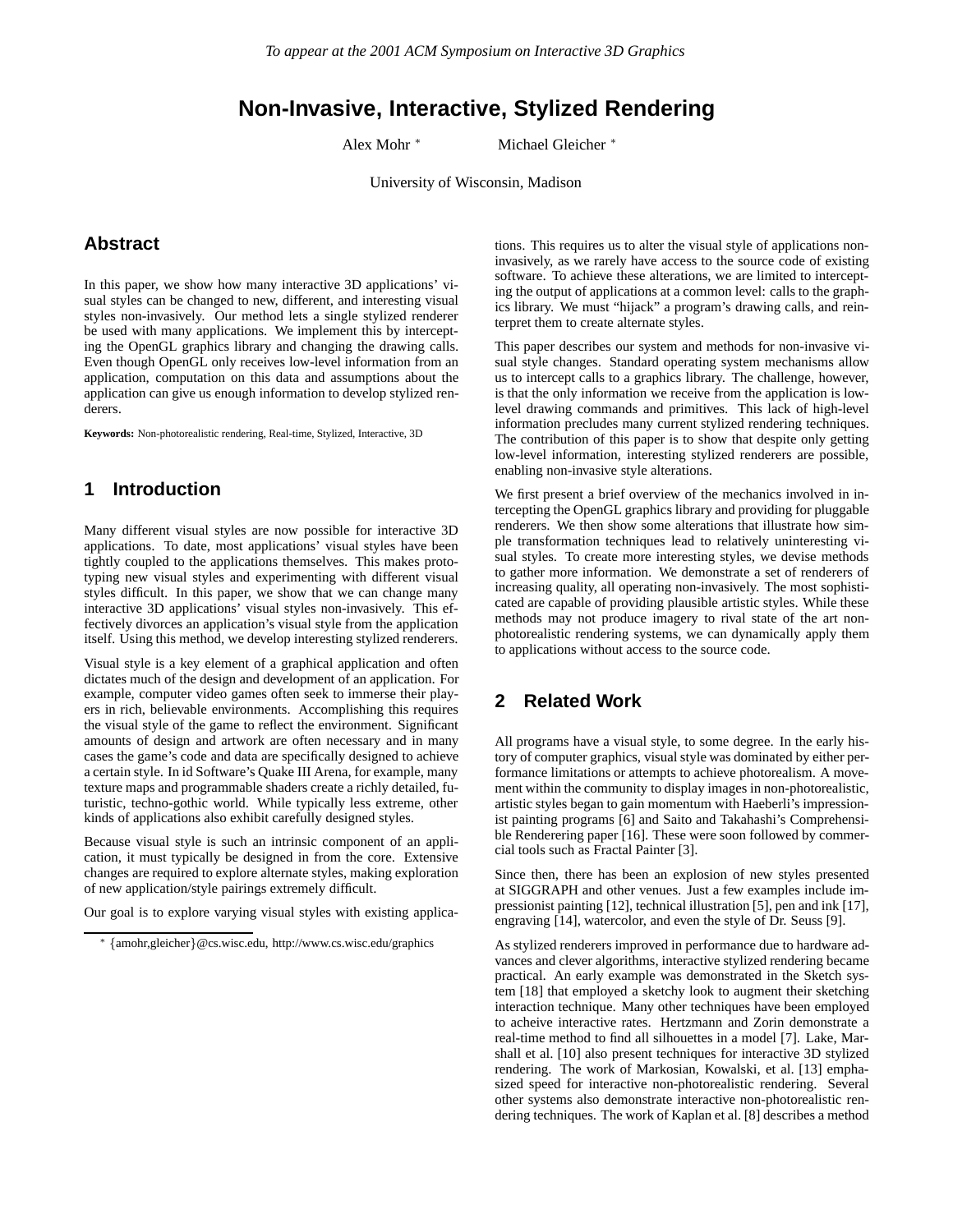# **Non-Invasive, Interactive, Stylized Rendering**

Alex Mohr ∗ Michael Gleicher ∗

University of Wisconsin, Madison

## **Abstract**

In this paper, we show how many interactive 3D applications' visual styles can be changed to new, different, and interesting visual styles non-invasively. Our method lets a single stylized renderer be used with many applications. We implement this by intercepting the OpenGL graphics library and changing the drawing calls. Even though OpenGL only receives low-level information from an application, computation on this data and assumptions about the application can give us enough information to develop stylized renderers.

**Keywords:** Non-photorealistic rendering, Real-time, Stylized, Interactive, 3D

### **1 Introduction**

Many different visual styles are now possible for interactive 3D applications. To date, most applications' visual styles have been tightly coupled to the applications themselves. This makes prototyping new visual styles and experimenting with different visual styles difficult. In this paper, we show that we can change many interactive 3D applications' visual styles non-invasively. This effectively divorces an application's visual style from the application itself. Using this method, we develop interesting stylized renderers.

Visual style is a key element of a graphical application and often dictates much of the design and development of an application. For example, computer video games often seek to immerse their players in rich, believable environments. Accomplishing this requires the visual style of the game to reflect the environment. Significant amounts of design and artwork are often necessary and in many cases the game's code and data are specifically designed to achieve a certain style. In id Software's Quake III Arena, for example, many texture maps and programmable shaders create a richly detailed, futuristic, techno-gothic world. While typically less extreme, other kinds of applications also exhibit carefully designed styles.

Because visual style is such an intrinsic component of an application, it must typically be designed in from the core. Extensive changes are required to explore alternate styles, making exploration of new application/style pairings extremely difficult.

Our goal is to explore varying visual styles with existing applica-

tions. This requires us to alter the visual style of applications noninvasively, as we rarely have access to the source code of existing software. To achieve these alterations, we are limited to intercepting the output of applications at a common level: calls to the graphics library. We must "hijack" a program's drawing calls, and reinterpret them to create alternate styles.

This paper describes our system and methods for non-invasive visual style changes. Standard operating system mechanisms allow us to intercept calls to a graphics library. The challenge, however, is that the only information we receive from the application is lowlevel drawing commands and primitives. This lack of high-level information precludes many current stylized rendering techniques. The contribution of this paper is to show that despite only getting low-level information, interesting stylized renderers are possible, enabling non-invasive style alterations.

We first present a brief overview of the mechanics involved in intercepting the OpenGL graphics library and providing for pluggable renderers. We then show some alterations that illustrate how simple transformation techniques lead to relatively uninteresting visual styles. To create more interesting styles, we devise methods to gather more information. We demonstrate a set of renderers of increasing quality, all operating non-invasively. The most sophisticated are capable of providing plausible artistic styles. While these methods may not produce imagery to rival state of the art nonphotorealistic rendering systems, we can dynamically apply them to applications without access to the source code.

## **2 Related Work**

All programs have a visual style, to some degree. In the early history of computer graphics, visual style was dominated by either performance limitations or attempts to achieve photorealism. A movement within the community to display images in non-photorealistic, artistic styles began to gain momentum with Haeberli's impressionist painting programs [6] and Saito and Takahashi's Comprehensible Renderering paper [16]. These were soon followed by commercial tools such as Fractal Painter [3].

Since then, there has been an explosion of new styles presented at SIGGRAPH and other venues. Just a few examples include impressionist painting [12], technical illustration [5], pen and ink [17], engraving [14], watercolor, and even the style of Dr. Seuss [9].

As stylized renderers improved in performance due to hardware advances and clever algorithms, interactive stylized rendering became practical. An early example was demonstrated in the Sketch system [18] that employed a sketchy look to augment their sketching interaction technique. Many other techniques have been employed to acheive interactive rates. Hertzmann and Zorin demonstrate a real-time method to find all silhouettes in a model [7]. Lake, Marshall et al. [10] also present techniques for interactive 3D stylized rendering. The work of Markosian, Kowalski, et al. [13] emphasized speed for interactive non-photorealistic rendering. Several other systems also demonstrate interactive non-photorealistic rendering techniques. The work of Kaplan et al. [8] describes a method

<sup>∗</sup> *{*amohr,gleicher*}*@cs.wisc.edu, http://www.cs.wisc.edu/graphics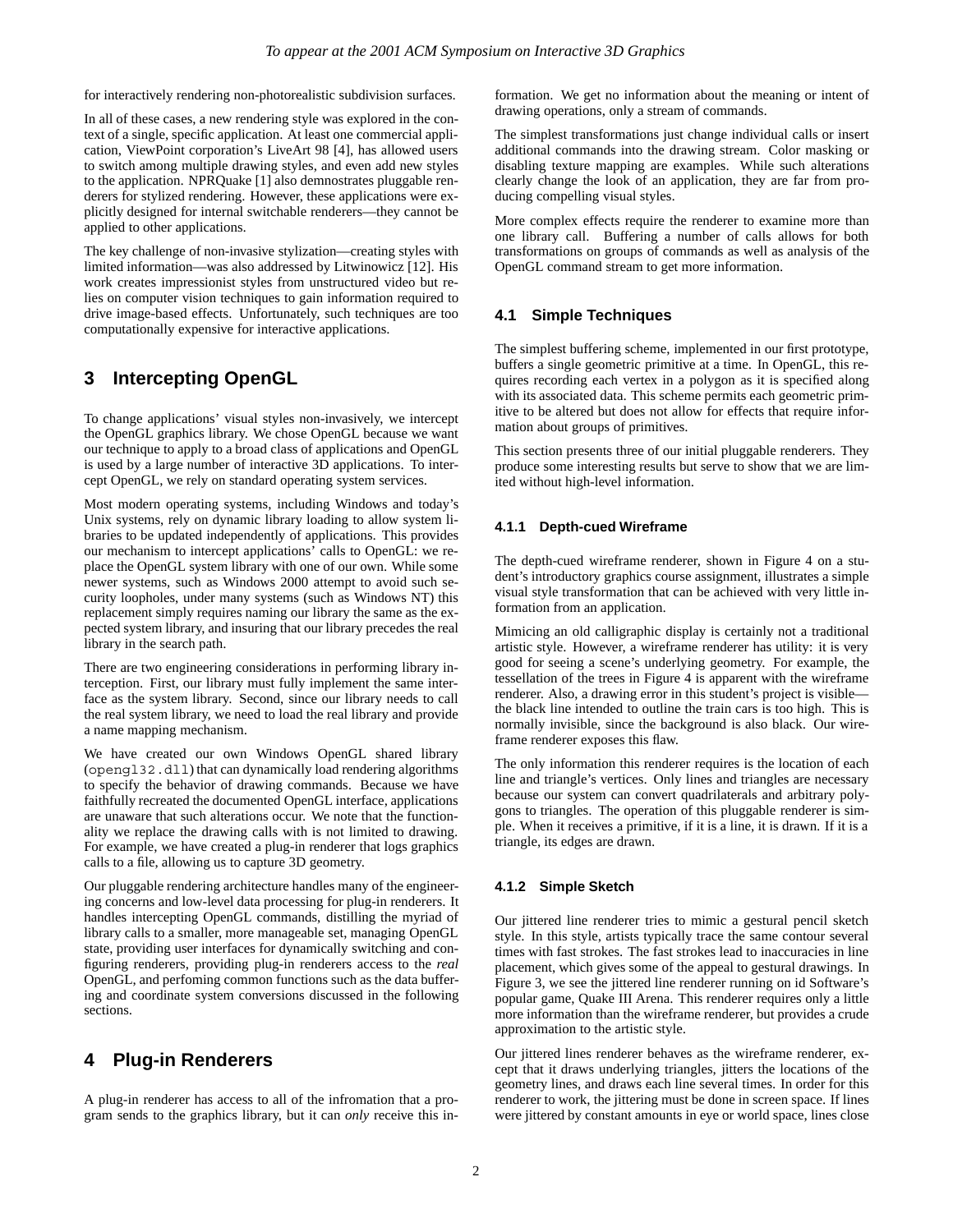for interactively rendering non-photorealistic subdivision surfaces.

In all of these cases, a new rendering style was explored in the context of a single, specific application. At least one commercial application, ViewPoint corporation's LiveArt 98 [4], has allowed users to switch among multiple drawing styles, and even add new styles to the application. NPRQuake [1] also demnostrates pluggable renderers for stylized rendering. However, these applications were explicitly designed for internal switchable renderers—they cannot be applied to other applications.

The key challenge of non-invasive stylization—creating styles with limited information—was also addressed by Litwinowicz [12]. His work creates impressionist styles from unstructured video but relies on computer vision techniques to gain information required to drive image-based effects. Unfortunately, such techniques are too computationally expensive for interactive applications.

# **3 Intercepting OpenGL**

To change applications' visual styles non-invasively, we intercept the OpenGL graphics library. We chose OpenGL because we want our technique to apply to a broad class of applications and OpenGL is used by a large number of interactive 3D applications. To intercept OpenGL, we rely on standard operating system services.

Most modern operating systems, including Windows and today's Unix systems, rely on dynamic library loading to allow system libraries to be updated independently of applications. This provides our mechanism to intercept applications' calls to OpenGL: we replace the OpenGL system library with one of our own. While some newer systems, such as Windows 2000 attempt to avoid such security loopholes, under many systems (such as Windows NT) this replacement simply requires naming our library the same as the expected system library, and insuring that our library precedes the real library in the search path.

There are two engineering considerations in performing library interception. First, our library must fully implement the same interface as the system library. Second, since our library needs to call the real system library, we need to load the real library and provide a name mapping mechanism.

We have created our own Windows OpenGL shared library (opengl32.dll) that can dynamically load rendering algorithms to specify the behavior of drawing commands. Because we have faithfully recreated the documented OpenGL interface, applications are unaware that such alterations occur. We note that the functionality we replace the drawing calls with is not limited to drawing. For example, we have created a plug-in renderer that logs graphics calls to a file, allowing us to capture 3D geometry.

Our pluggable rendering architecture handles many of the engineering concerns and low-level data processing for plug-in renderers. It handles intercepting OpenGL commands, distilling the myriad of library calls to a smaller, more manageable set, managing OpenGL state, providing user interfaces for dynamically switching and configuring renderers, providing plug-in renderers access to the *real* OpenGL, and perfoming common functions such as the data buffering and coordinate system conversions discussed in the following sections.

# **4 Plug-in Renderers**

A plug-in renderer has access to all of the infromation that a program sends to the graphics library, but it can *only* receive this information. We get no information about the meaning or intent of drawing operations, only a stream of commands.

The simplest transformations just change individual calls or insert additional commands into the drawing stream. Color masking or disabling texture mapping are examples. While such alterations clearly change the look of an application, they are far from producing compelling visual styles.

More complex effects require the renderer to examine more than one library call. Buffering a number of calls allows for both transformations on groups of commands as well as analysis of the OpenGL command stream to get more information.

### **4.1 Simple Techniques**

The simplest buffering scheme, implemented in our first prototype, buffers a single geometric primitive at a time. In OpenGL, this requires recording each vertex in a polygon as it is specified along with its associated data. This scheme permits each geometric primitive to be altered but does not allow for effects that require information about groups of primitives.

This section presents three of our initial pluggable renderers. They produce some interesting results but serve to show that we are limited without high-level information.

#### **4.1.1 Depth-cued Wireframe**

The depth-cued wireframe renderer, shown in Figure 4 on a student's introductory graphics course assignment, illustrates a simple visual style transformation that can be achieved with very little information from an application.

Mimicing an old calligraphic display is certainly not a traditional artistic style. However, a wireframe renderer has utility: it is very good for seeing a scene's underlying geometry. For example, the tessellation of the trees in Figure 4 is apparent with the wireframe renderer. Also, a drawing error in this student's project is visible the black line intended to outline the train cars is too high. This is normally invisible, since the background is also black. Our wireframe renderer exposes this flaw.

The only information this renderer requires is the location of each line and triangle's vertices. Only lines and triangles are necessary because our system can convert quadrilaterals and arbitrary polygons to triangles. The operation of this pluggable renderer is simple. When it receives a primitive, if it is a line, it is drawn. If it is a triangle, its edges are drawn.

#### **4.1.2 Simple Sketch**

Our jittered line renderer tries to mimic a gestural pencil sketch style. In this style, artists typically trace the same contour several times with fast strokes. The fast strokes lead to inaccuracies in line placement, which gives some of the appeal to gestural drawings. In Figure 3, we see the jittered line renderer running on id Software's popular game, Quake III Arena. This renderer requires only a little more information than the wireframe renderer, but provides a crude approximation to the artistic style.

Our jittered lines renderer behaves as the wireframe renderer, except that it draws underlying triangles, jitters the locations of the geometry lines, and draws each line several times. In order for this renderer to work, the jittering must be done in screen space. If lines were jittered by constant amounts in eye or world space, lines close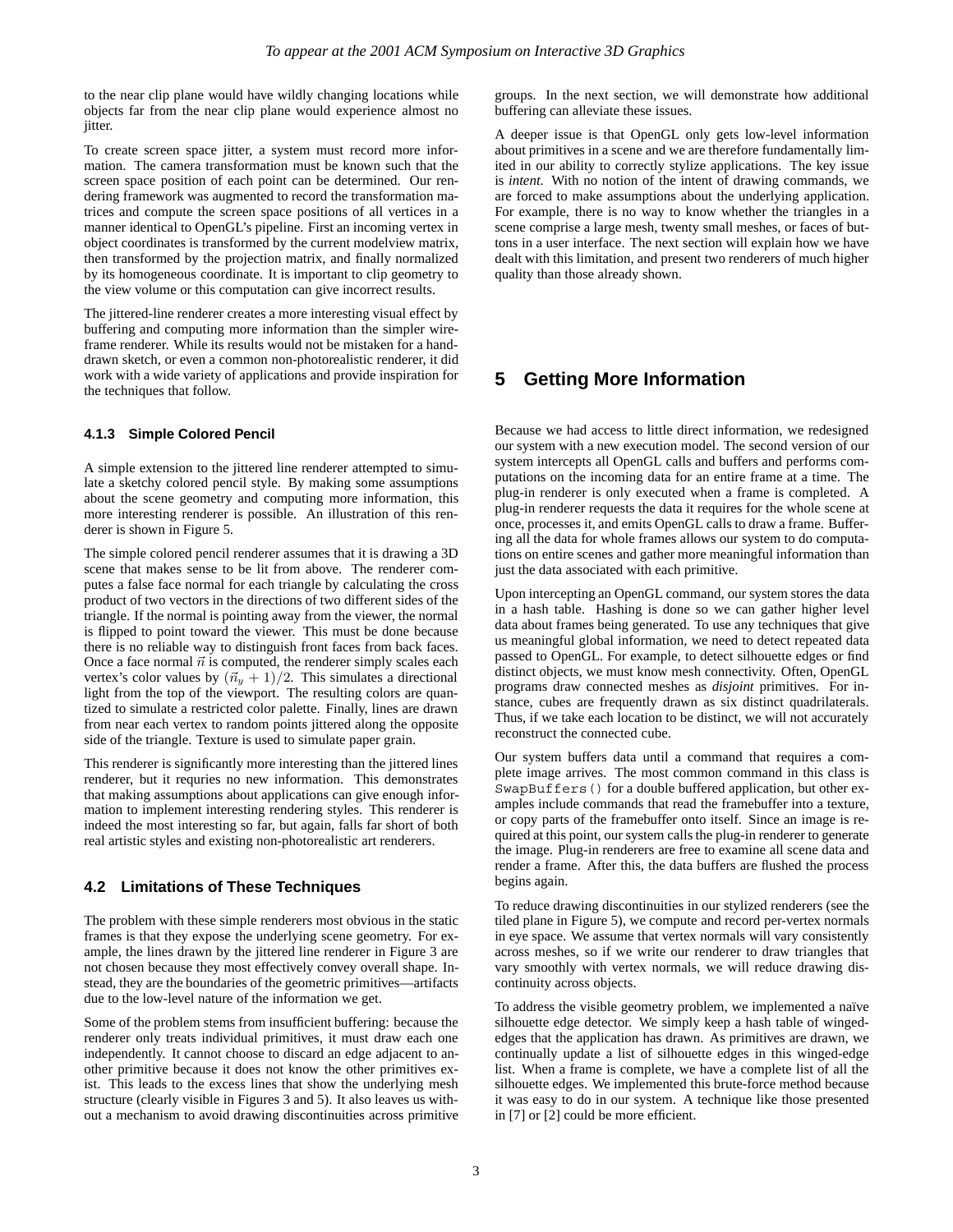to the near clip plane would have wildly changing locations while objects far from the near clip plane would experience almost no jitter.

To create screen space jitter, a system must record more information. The camera transformation must be known such that the screen space position of each point can be determined. Our rendering framework was augmented to record the transformation matrices and compute the screen space positions of all vertices in a manner identical to OpenGL's pipeline. First an incoming vertex in object coordinates is transformed by the current modelview matrix, then transformed by the projection matrix, and finally normalized by its homogeneous coordinate. It is important to clip geometry to the view volume or this computation can give incorrect results.

The jittered-line renderer creates a more interesting visual effect by buffering and computing more information than the simpler wireframe renderer. While its results would not be mistaken for a handdrawn sketch, or even a common non-photorealistic renderer, it did work with a wide variety of applications and provide inspiration for the techniques that follow.

#### **4.1.3 Simple Colored Pencil**

A simple extension to the jittered line renderer attempted to simulate a sketchy colored pencil style. By making some assumptions about the scene geometry and computing more information, this more interesting renderer is possible. An illustration of this renderer is shown in Figure 5.

The simple colored pencil renderer assumes that it is drawing a 3D scene that makes sense to be lit from above. The renderer computes a false face normal for each triangle by calculating the cross product of two vectors in the directions of two different sides of the triangle. If the normal is pointing away from the viewer, the normal is flipped to point toward the viewer. This must be done because there is no reliable way to distinguish front faces from back faces. Once a face normal  $\vec{n}$  is computed, the renderer simply scales each vertex's color values by  $(\vec{n}_y + 1)/2$ . This simulates a directional light from the top of the viewport. The resulting colors are quantized to simulate a restricted color palette. Finally, lines are drawn from near each vertex to random points jittered along the opposite side of the triangle. Texture is used to simulate paper grain.

This renderer is significantly more interesting than the jittered lines renderer, but it requries no new information. This demonstrates that making assumptions about applications can give enough information to implement interesting rendering styles. This renderer is indeed the most interesting so far, but again, falls far short of both real artistic styles and existing non-photorealistic art renderers.

### **4.2 Limitations of These Techniques**

The problem with these simple renderers most obvious in the static frames is that they expose the underlying scene geometry. For example, the lines drawn by the jittered line renderer in Figure 3 are not chosen because they most effectively convey overall shape. Instead, they are the boundaries of the geometric primitives—artifacts due to the low-level nature of the information we get.

Some of the problem stems from insufficient buffering: because the renderer only treats individual primitives, it must draw each one independently. It cannot choose to discard an edge adjacent to another primitive because it does not know the other primitives exist. This leads to the excess lines that show the underlying mesh structure (clearly visible in Figures 3 and 5). It also leaves us without a mechanism to avoid drawing discontinuities across primitive groups. In the next section, we will demonstrate how additional buffering can alleviate these issues.

A deeper issue is that OpenGL only gets low-level information about primitives in a scene and we are therefore fundamentally limited in our ability to correctly stylize applications. The key issue is *intent*. With no notion of the intent of drawing commands, we are forced to make assumptions about the underlying application. For example, there is no way to know whether the triangles in a scene comprise a large mesh, twenty small meshes, or faces of buttons in a user interface. The next section will explain how we have dealt with this limitation, and present two renderers of much higher quality than those already shown.

## **5 Getting More Information**

Because we had access to little direct information, we redesigned our system with a new execution model. The second version of our system intercepts all OpenGL calls and buffers and performs computations on the incoming data for an entire frame at a time. The plug-in renderer is only executed when a frame is completed. A plug-in renderer requests the data it requires for the whole scene at once, processes it, and emits OpenGL calls to draw a frame. Buffering all the data for whole frames allows our system to do computations on entire scenes and gather more meaningful information than just the data associated with each primitive.

Upon intercepting an OpenGL command, our system stores the data in a hash table. Hashing is done so we can gather higher level data about frames being generated. To use any techniques that give us meaningful global information, we need to detect repeated data passed to OpenGL. For example, to detect silhouette edges or find distinct objects, we must know mesh connectivity. Often, OpenGL programs draw connected meshes as *disjoint* primitives. For instance, cubes are frequently drawn as six distinct quadrilaterals. Thus, if we take each location to be distinct, we will not accurately reconstruct the connected cube.

Our system buffers data until a command that requires a complete image arrives. The most common command in this class is SwapBuffers() for a double buffered application, but other examples include commands that read the framebuffer into a texture, or copy parts of the framebuffer onto itself. Since an image is required at this point, our system calls the plug-in renderer to generate the image. Plug-in renderers are free to examine all scene data and render a frame. After this, the data buffers are flushed the process begins again.

To reduce drawing discontinuities in our stylized renderers (see the tiled plane in Figure 5), we compute and record per-vertex normals in eye space. We assume that vertex normals will vary consistently across meshes, so if we write our renderer to draw triangles that vary smoothly with vertex normals, we will reduce drawing discontinuity across objects.

To address the visible geometry problem, we implemented a naïve silhouette edge detector. We simply keep a hash table of wingededges that the application has drawn. As primitives are drawn, we continually update a list of silhouette edges in this winged-edge list. When a frame is complete, we have a complete list of all the silhouette edges. We implemented this brute-force method because it was easy to do in our system. A technique like those presented in [7] or [2] could be more efficient.